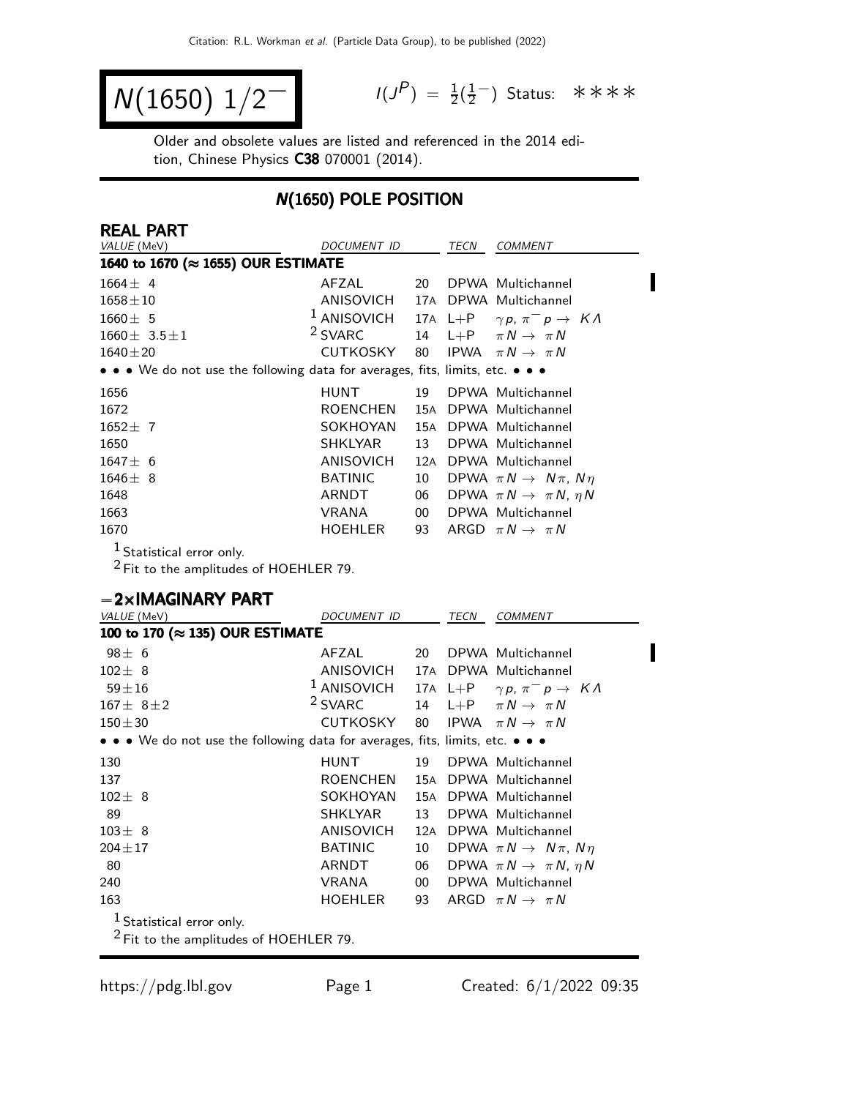$$
N(1650) \; 1/2^{-1} \qquad \qquad ^{1/3}
$$

 $P$ ) =  $\frac{1}{2}(\frac{1}{2})$  $\frac{1}{2}$  Status: \*\*\*\*

Older and obsolete values are listed and referenced in the 2014 edition, Chinese Physics C38 070001 (2014).

### N(1650) POLE POSITION

| <b>REAL PART</b>                                                              |                    |    |                 |                                           |
|-------------------------------------------------------------------------------|--------------------|----|-----------------|-------------------------------------------|
| VALUE (MeV)                                                                   | DOCUMENT ID        |    | TECN            | <b>COMMENT</b>                            |
| 1640 to 1670 (≈ 1655) OUR ESTIMATE                                            |                    |    |                 |                                           |
| $1664 + 4$                                                                    | AFZAL              | 20 |                 | DPWA Multichannel                         |
| $1658 \pm 10$                                                                 | ANISOVICH          |    |                 | 17A DPWA Multichannel                     |
| $1660 \pm 5$                                                                  | $1$ ANISOVICH      |    | $17A \quad L+P$ | $\gamma p$ , $\pi^- p \to K \Lambda$      |
| $1660 \pm 3.5 \pm 1$                                                          | <sup>2</sup> SVARC | 14 | $L + P$         | $\pi N \rightarrow \pi N$                 |
| $1640 \pm 20$                                                                 | <b>CUTKOSKY</b>    | 80 | <b>IPWA</b>     | $\pi N \rightarrow \pi N$                 |
| • • We do not use the following data for averages, fits, limits, etc. • • •   |                    |    |                 |                                           |
| 1656                                                                          | <b>HUNT</b>        | 19 |                 | DPWA Multichannel                         |
| 1672                                                                          | ROENCHEN           |    |                 | 15A DPWA Multichannel                     |
| $1652 \pm 7$                                                                  | SOKHOYAN           |    |                 | 15A DPWA Multichannel                     |
| 1650                                                                          | SHKLYAR            | 13 |                 | DPWA Multichannel                         |
| $1647 \pm 6$                                                                  | <b>ANISOVICH</b>   |    |                 | 12A DPWA Multichannel                     |
| $1646 \pm 8$                                                                  | <b>BATINIC</b>     | 10 |                 | DPWA $\pi N \rightarrow N \pi$ , $N \eta$ |
| 1648                                                                          | ARNDT              | 06 |                 | DPWA $\pi N \rightarrow \pi N$ , $\eta N$ |
| 1663                                                                          | VRANA              | 00 |                 | DPWA Multichannel                         |
| 1670                                                                          | <b>HOEHLER</b>     | 93 |                 | ARGD $\pi N \rightarrow \pi N$            |
| $1$ Statistical error only.                                                   |                    |    |                 |                                           |
| $2$ Fit to the amplitudes of HOEHLER 79.                                      |                    |    |                 |                                           |
|                                                                               |                    |    |                 |                                           |
| $-2\times$ IMAGINARY PART                                                     |                    |    |                 |                                           |
| VALUE (MeV)                                                                   | DOCUMENT ID        |    | TECN            | <b>COMMENT</b>                            |
| 100 to 170 (≈ 135) OUR ESTIMATE                                               |                    |    |                 |                                           |
| $98 \pm 6$                                                                    | AFZAL              | 20 |                 | DPWA Multichannel                         |
| $102 \pm 8$                                                                   | ANISOVICH          |    |                 | 17A DPWA Multichannel                     |
| $59 + 16$                                                                     | $1$ ANISOVICH      |    | $17A \quad L+P$ | $\gamma p$ , $\pi^- p \to K \Lambda$      |
| $167 \pm 8 \pm 2$                                                             | <sup>2</sup> SVARC | 14 | $L + P$         | $\pi N \rightarrow \pi N$                 |
| $150 + 30$                                                                    | <b>CUTKOSKY</b>    | 80 | <b>IPWA</b>     | $\pi N \rightarrow \pi N$                 |
| • • • We do not use the following data for averages, fits, limits, etc. • • • |                    |    |                 |                                           |
| 130                                                                           | <b>HUNT</b>        | 19 |                 | DPWA Multichannel                         |
| 137                                                                           | ROENCHEN           |    |                 | 15A DPWA Multichannel                     |
| $102 \pm 8$                                                                   | SOKHOYAN           |    |                 | 15A DPWA Multichannel                     |
| 89                                                                            | SHKLYAR            | 13 |                 | DPWA Multichannel                         |
| $103 \pm 8$                                                                   | <b>ANISOVICH</b>   |    |                 | 12A DPWA Multichannel                     |
| $204 \pm 17$                                                                  | <b>BATINIC</b>     | 10 |                 | DPWA $\pi N \rightarrow N \pi$ , $N \eta$ |
| 80                                                                            | ARNDT              | 06 |                 | DPWA $\pi N \rightarrow \pi N$ , $\eta N$ |
| 240                                                                           | <b>VRANA</b>       | 00 |                 | DPWA Multichannel                         |
| 163                                                                           | <b>HOEHLER</b>     | 93 |                 | ARGD $\pi N \rightarrow \pi N$            |
| $^1$ Statistical error only.                                                  |                    |    |                 |                                           |
| $2$ Fit to the amplitudes of HOEHLER 79.                                      |                    |    |                 |                                           |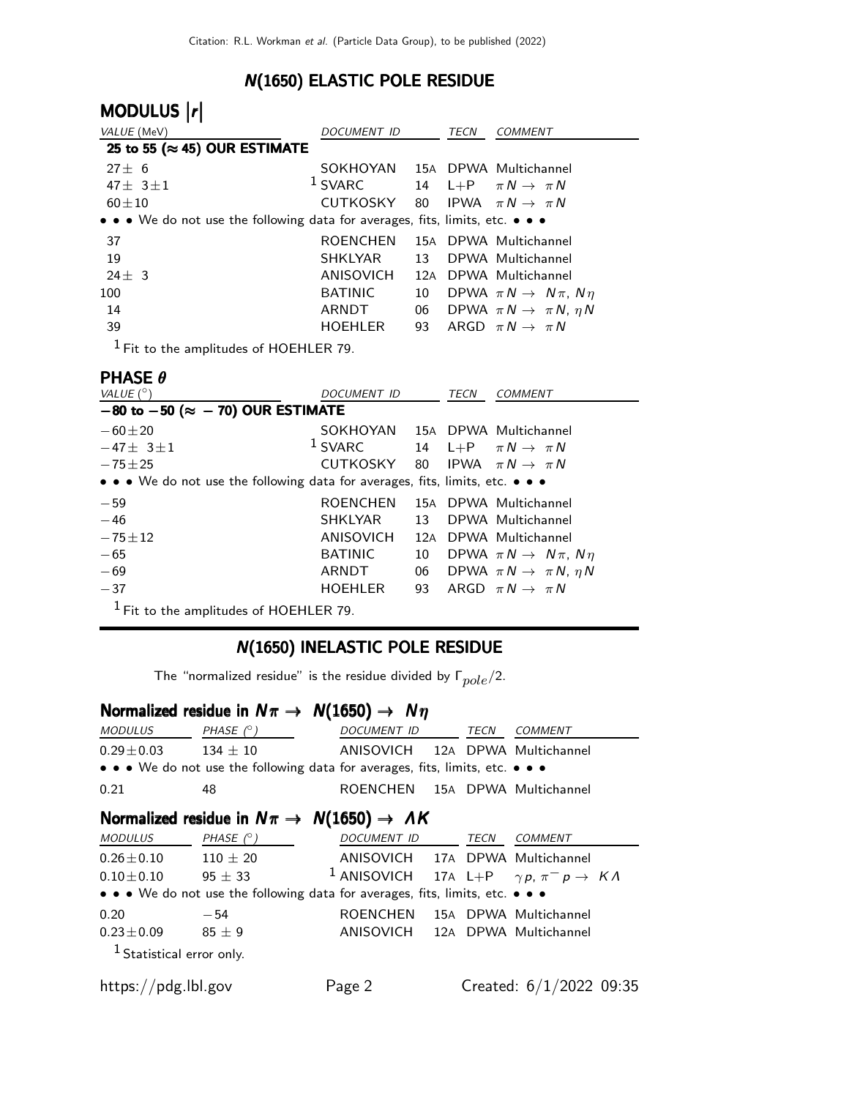### N(1650) ELASTIC POLE RESIDUE

| MODULUS  r                                                                                                            |                  |     |      |                                           |
|-----------------------------------------------------------------------------------------------------------------------|------------------|-----|------|-------------------------------------------|
| VALUE (MeV)                                                                                                           | DOCUMENT ID      |     | TECN | COMMENT                                   |
| 25 to 55 ( $\approx$ 45) OUR ESTIMATE                                                                                 |                  |     |      |                                           |
| $27 \pm 6$                                                                                                            | SOKHOYAN         |     |      | 15A DPWA Multichannel                     |
| 47 $\pm$ 3 $\pm$ 1                                                                                                    | $1$ SVARC        |     |      | 14 L+P $\pi N \rightarrow \pi N$          |
| $60 + 10$                                                                                                             | CUTKOSKY         |     |      | 80 IPWA $\pi N \rightarrow \pi N$         |
| $\bullet \bullet \bullet$ We do not use the following data for averages, fits, limits, etc. $\bullet \bullet \bullet$ |                  |     |      |                                           |
| 37                                                                                                                    | <b>ROENCHEN</b>  |     |      | 15A DPWA Multichannel                     |
| 19                                                                                                                    | <b>SHKLYAR</b>   | 13  |      | DPWA Multichannel                         |
| $24 + 3$                                                                                                              | <b>ANISOVICH</b> | 12A |      | DPWA Multichannel                         |
| 100                                                                                                                   | <b>BATINIC</b>   | 10  |      | DPWA $\pi N \rightarrow N \pi$ , $N \eta$ |
| 14                                                                                                                    | ARNDT            | 06  |      | DPWA $\pi N \rightarrow \pi N$ , $\eta N$ |
| 39                                                                                                                    | <b>HOEHLER</b>   | 93  |      | ARGD $\pi N \rightarrow \pi N$            |
|                                                                                                                       |                  |     |      |                                           |

1 Fit to the amplitudes of HOEHLER 79.

### PHASE θ

| VALUE $(^\circ)$                                                                                                      | DOCUMENT ID                    |    | <b>TECN</b> | <b>COMMENT</b>                            |  |  |  |  |
|-----------------------------------------------------------------------------------------------------------------------|--------------------------------|----|-------------|-------------------------------------------|--|--|--|--|
| $-80$ to $-50$ ( $\approx -70$ ) OUR ESTIMATE                                                                         |                                |    |             |                                           |  |  |  |  |
| $-60\pm 20$                                                                                                           | SOKHOYAN 15A DPWA Multichannel |    |             |                                           |  |  |  |  |
| $-47 \pm 3 \pm 1$                                                                                                     | $1$ SVARC                      |    |             | 14 L+P $\pi N \rightarrow \pi N$          |  |  |  |  |
| $-75 + 25$                                                                                                            | CUTKOSKY                       |    |             | 80 IPWA $\pi N \rightarrow \pi N$         |  |  |  |  |
| $\bullet \bullet \bullet$ We do not use the following data for averages, fits, limits, etc. $\bullet \bullet \bullet$ |                                |    |             |                                           |  |  |  |  |
| $-59$                                                                                                                 | <b>ROENCHEN</b>                |    |             | 15A DPWA Multichannel                     |  |  |  |  |
| $-46$                                                                                                                 | SHKLYAR                        | 13 |             | DPWA Multichannel                         |  |  |  |  |
| $-75 \pm 12$                                                                                                          | <b>ANISOVICH</b>               |    |             | 12A DPWA Multichannel                     |  |  |  |  |
| $-65$                                                                                                                 | <b>BATINIC</b>                 | 10 |             | DPWA $\pi N \rightarrow N \pi$ , $N \eta$ |  |  |  |  |
| $-69$                                                                                                                 | ARNDT                          | 06 |             | DPWA $\pi N \rightarrow \pi N$ , $\eta N$ |  |  |  |  |
| $-37$                                                                                                                 | <b>HOEHLER</b>                 |    |             | 93 ARGD $\pi N \rightarrow \pi N$         |  |  |  |  |
| $1$ Fit to the amplitudes of HOEHLER 79.                                                                              |                                |    |             |                                           |  |  |  |  |

#### N(1650) INELASTIC POLE RESIDUE

The "normalized residue" is the residue divided by  $\Gamma_{pole}/2$ .

### Normalized residue in  $N\pi \rightarrow N(1650) \rightarrow N\eta$

| <i>MODULUS</i>                                                                | PHASE $(^\circ)$ | <i>DOCUMENT ID</i>              |  | TECN | COMMENT |  |  |  |
|-------------------------------------------------------------------------------|------------------|---------------------------------|--|------|---------|--|--|--|
| $0.29 \pm 0.03$                                                               | $134 + 10$       | ANISOVICH 12A DPWA Multichannel |  |      |         |  |  |  |
| • • • We do not use the following data for averages, fits, limits, etc. • • • |                  |                                 |  |      |         |  |  |  |
| 0.21                                                                          | 48               | ROENCHEN 15A DPWA Multichannel  |  |      |         |  |  |  |

### Normalized residue in  $N\pi \rightarrow N(1650) \rightarrow \Lambda K$

| <i>MODULUS</i>                     | PHASE $(^\circ)$                                                              | DOCUMENT ID                                                                                            | TECN | <b>COMMENT</b>            |  |
|------------------------------------|-------------------------------------------------------------------------------|--------------------------------------------------------------------------------------------------------|------|---------------------------|--|
| $0.26 \pm 0.10$<br>$0.10 \pm 0.10$ | $110 \pm 20$<br>$95 \pm 33$                                                   | ANISOVICH 17A DPWA Multichannel<br><sup>1</sup> ANISOVICH 17A L+P $\gamma p$ , $\pi^- p \to K \Lambda$ |      |                           |  |
|                                    | • • • We do not use the following data for averages, fits, limits, etc. • • • |                                                                                                        |      |                           |  |
| 0.20<br>$0.23 \pm 0.09$            | $-54$<br>$85\pm9$                                                             | <b>ROENCHEN</b><br>ANISOVICH 12A DPWA Multichannel                                                     |      | 15A DPWA Multichannel     |  |
| $1$ Statistical error only.        |                                                                               |                                                                                                        |      |                           |  |
| https://pdg.lbl.gov                |                                                                               | Page 2                                                                                                 |      | Created: $6/1/2022$ 09:35 |  |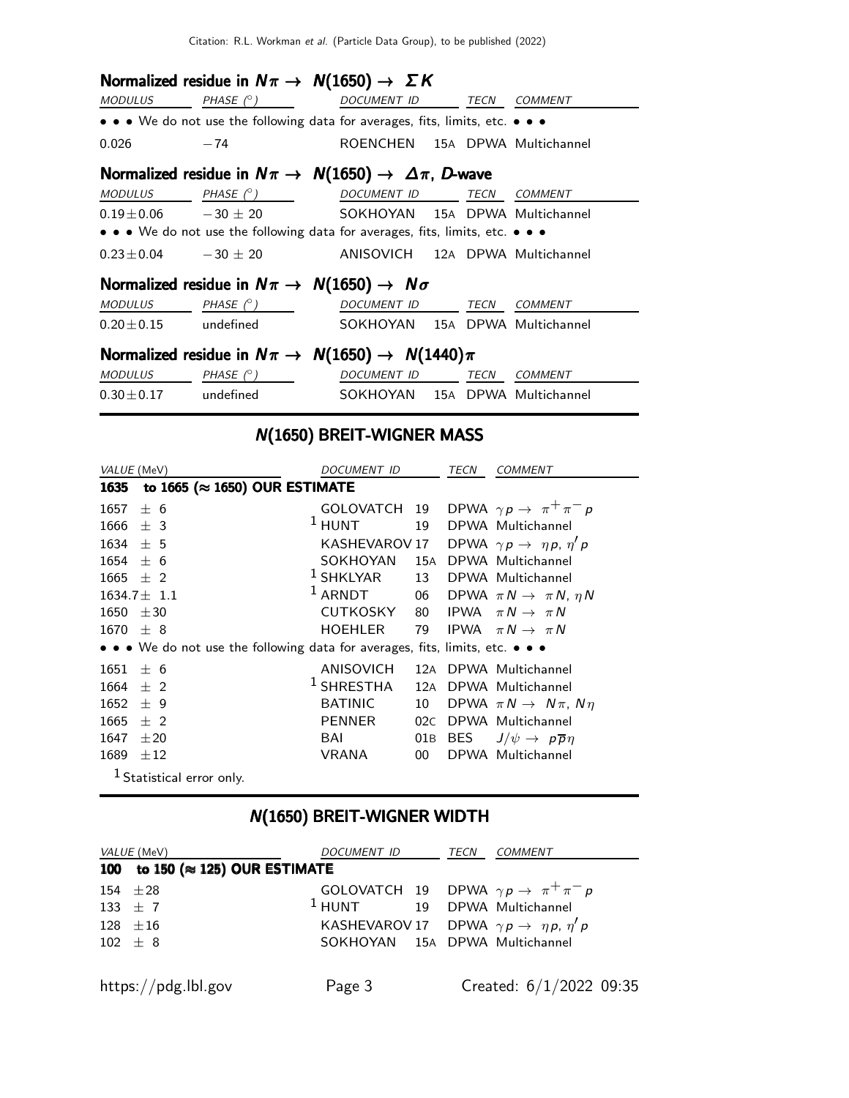|                                                                         | Normalized residue in $N\pi \to N(1650) \to \Sigma K$                         |                                |  |  |  |  |  |  |
|-------------------------------------------------------------------------|-------------------------------------------------------------------------------|--------------------------------|--|--|--|--|--|--|
| MODULUS                                                                 | PHASE (°) DOCUMENT ID TECN COMMENT                                            |                                |  |  |  |  |  |  |
|                                                                         | • • • We do not use the following data for averages, fits, limits, etc. • • • |                                |  |  |  |  |  |  |
| $0.026 -74$                                                             |                                                                               | ROENCHEN 15A DPWA Multichannel |  |  |  |  |  |  |
| Normalized residue in $N\pi \to N(1650) \to \Delta \pi$ , D-wave        |                                                                               |                                |  |  |  |  |  |  |
|                                                                         | $MODULUS PHASE \circ) DOCUMENT ID TECN COMMENT$                               |                                |  |  |  |  |  |  |
|                                                                         | $0.19 \pm 0.06$ $-30 \pm 20$ SOKHOYAN 15A DPWA Multichannel                   |                                |  |  |  |  |  |  |
|                                                                         | • • • We do not use the following data for averages, fits, limits, etc. • • • |                                |  |  |  |  |  |  |
|                                                                         | $0.23 \pm 0.04$ $-30 \pm 20$ ANISOVICH 12A DPWA Multichannel                  |                                |  |  |  |  |  |  |
|                                                                         | Normalized residue in $N\pi \rightarrow N(1650) \rightarrow N\sigma$          |                                |  |  |  |  |  |  |
|                                                                         | $MODULUS$ PHASE $(^\circ)$                                                    | DOCUMENT ID TECN COMMENT       |  |  |  |  |  |  |
|                                                                         | $0.20 \pm 0.15$ undefined                                                     | SOKHOYAN 15A DPWA Multichannel |  |  |  |  |  |  |
| Normalized residue in $N\pi \rightarrow N(1650) \rightarrow N(1440)\pi$ |                                                                               |                                |  |  |  |  |  |  |
|                                                                         | $MODULUS$ PHASE $(°)$ DOCUMENT ID TECN COMMENT                                |                                |  |  |  |  |  |  |
|                                                                         | $0.30 \pm 0.17$ undefined $SOKHOYAN$ 15A DPWA Multichannel                    |                                |  |  |  |  |  |  |

# N(1650) BREIT-WIGNER MASS

| VALUE (MeV)  |                                                                               | <i>DOCUMENT ID</i> |                 | TECN | <b>COMMENT</b>                               |
|--------------|-------------------------------------------------------------------------------|--------------------|-----------------|------|----------------------------------------------|
| 1635         | to 1665 (≈ 1650) OUR ESTIMATE                                                 |                    |                 |      |                                              |
| 1657         | ± 6                                                                           | GOLOVATCH 19       |                 |      | DPWA $\gamma p \rightarrow \pi^+ \pi^- p$    |
| $1666 \pm 3$ |                                                                               | $1$ HUNT           | 19              |      | DPWA Multichannel                            |
| $1634 \pm 5$ |                                                                               | KASHEVAROV 17      |                 |      | DPWA $\gamma p \rightarrow \eta p, \eta' p$  |
| 1654         | $+6$                                                                          | SOKHOYAN           | 15A             |      | DPWA Multichannel                            |
| 1665         | $±$ 2                                                                         | $1$ SHKLYAR        |                 |      | 13 DPWA Multichannel                         |
|              | $1634.7 \pm 1.1$                                                              | $1$ ARNDT          |                 |      | 06 DPWA $\pi N \rightarrow \pi N$ , $\eta N$ |
| 1650         | ±30                                                                           | CUTKOSKY           |                 |      | 80 IPWA $\pi N \rightarrow \pi N$            |
| $1670 + 8$   |                                                                               | <b>HOEHLER</b>     | 79              |      | IPWA $\pi N \rightarrow \pi N$               |
|              | • • • We do not use the following data for averages, fits, limits, etc. • • • |                    |                 |      |                                              |
| 1651         | ± 6                                                                           | ANISOVICH          |                 |      | 12A DPWA Multichannel                        |
| 1664         | $±$ 2                                                                         | $1$ SHRESTHA       | 12A             |      | DPWA Multichannel                            |
| 1652         | ± 9                                                                           | <b>BATINIC</b>     | 10              |      | DPWA $\pi N \rightarrow N \pi$ , $N \eta$    |
| 1665         | $+2$                                                                          | PENNER             | 02C             |      | DPWA Multichannel                            |
| 1647         | $\pm 20$                                                                      | BAI                | 01B             | BES  | $J/\psi \rightarrow p\overline{p}\eta$       |
| 1689         | ±12                                                                           | <b>VRANA</b>       | 00 <sup>1</sup> |      | DPWA Multichannel                            |
|              | <sup>1</sup> Statistical error only.                                          |                    |                 |      |                                              |

# N(1650) BREIT-WIGNER WIDTH

| VALUE (MeV)                              | <i>DOCUMENT ID</i>                     | TECN | COMMENT                                                   |
|------------------------------------------|----------------------------------------|------|-----------------------------------------------------------|
| 100 to 150 ( $\approx$ 125) OUR ESTIMATE |                                        |      |                                                           |
| 154 $\pm 28$                             |                                        |      | GOLOVATCH 19 DPWA $\gamma p \rightarrow \pi^+ \pi^- p$    |
| 133 $\pm$ 7                              | <sup>1</sup> HUNT 19 DPWA Multichannel |      |                                                           |
| $128 \pm 16$                             |                                        |      | KASHEVAROV 17 DPWA $\gamma p \rightarrow \eta p, \eta' p$ |
| $102 + 8$                                | SOKHOYAN 15A DPWA Multichannel         |      |                                                           |
| https://pdg.lbl.gov                      | Page 3                                 |      | Created: 6/1/2022 09:35                                   |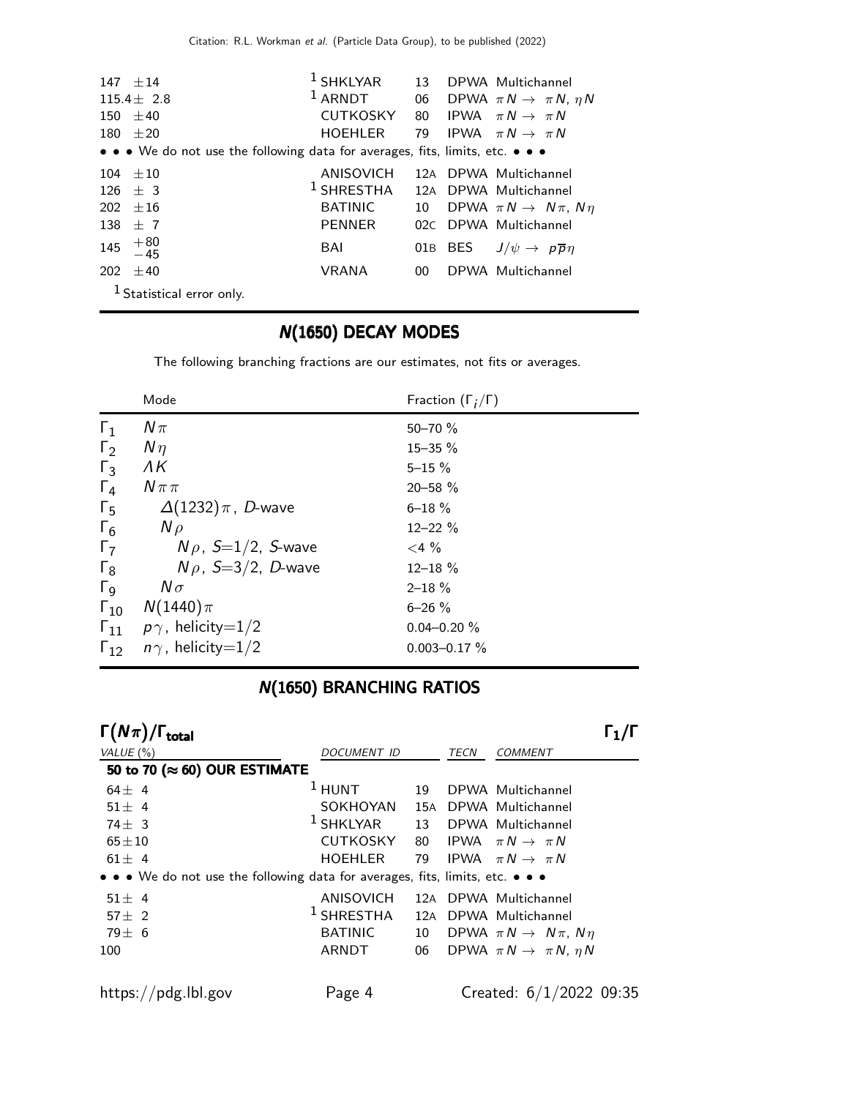| $147 + 14$                                                                    | $1$ SHKLYAR                                 |        | 13 DPWA Multichannel                                            |
|-------------------------------------------------------------------------------|---------------------------------------------|--------|-----------------------------------------------------------------|
| $115.4 \pm 2.8$                                                               |                                             |        | <sup>1</sup> ARNDT 06 DPWA $\pi N \rightarrow \pi N$ , $\eta N$ |
| 150 $\pm 40$                                                                  | CUTKOSKY 80 IPWA $\pi N \rightarrow \pi N$  |        |                                                                 |
| $180 + 20$                                                                    | HOEHLER 79 IPWA $\pi N \rightarrow \pi N$   |        |                                                                 |
| • • • We do not use the following data for averages, fits, limits, etc. • • • |                                             |        |                                                                 |
| $104 + 10$                                                                    | ANISOVICH                                   |        | 12A DPWA Multichannel                                           |
| $126 + 3$                                                                     | <sup>1</sup> SHRESTHA 12A DPWA Multichannel |        |                                                                 |
| $202 + 16$                                                                    | BATINIC                                     | 10     | DPWA $\pi N \rightarrow N \pi$ , $N \eta$                       |
| 138 $\pm$ 7                                                                   | PENNER                                      |        | 02C DPWA Multichannel                                           |
| 145 $+80$<br>-45                                                              | BAI                                         |        | 01B BES $J/\psi \rightarrow p\overline{p}\eta$                  |
| 202 $\pm 40$                                                                  | <b>VRANA</b>                                | $00\,$ | DPWA Multichannel                                               |
| <sup>1</sup> Statistical error only.                                          |                                             |        |                                                                 |

### N(1650) DECAY MODES

The following branching fractions are our estimates, not fits or averages.

|                       | Mode                        | Fraction $(\Gamma_i/\Gamma)$ |
|-----------------------|-----------------------------|------------------------------|
| $\Gamma_1$            | $N\pi$                      | $50 - 70 \%$                 |
| $\Gamma_2$            | $N\eta$                     | $15 - 35 \%$                 |
| $\Gamma_3$            | ΛK                          | $5 - 15 \%$                  |
| $\Gamma_4$            | $N \pi \pi$                 | $20 - 58 \%$                 |
| $\Gamma_5$            | $\Delta(1232)\pi$ , D-wave  | $6 - 18 \%$                  |
| $\Gamma_6$            | $N \rho$                    | $12 - 22 \%$                 |
| $\Gamma_7$            | $N\rho$ , S=1/2, S-wave     | $<$ 4 %                      |
| $\Gamma_8$            | $N\rho$ , S=3/2, D-wave     | $12 - 18 \%$                 |
| $\Gamma$ <sub>9</sub> | $N\sigma$                   | $2 - 18 \%$                  |
| $\Gamma_{10}$         | $N(1440)\pi$                | $6 - 26 \%$                  |
| $\Gamma_{11}$         | $p\gamma$ , helicity $=1/2$ | $0.04 - 0.20 \%$             |
| $\Gamma_{12}$         | $n\gamma$ , helicity=1/2    | $0.003 - 0.17 \%$            |

### N(1650) BRANCHING RATIOS

| $\Gamma(N\pi)/\Gamma_{\rm total}$                                             |                 |    |  |                                           |  |
|-------------------------------------------------------------------------------|-----------------|----|--|-------------------------------------------|--|
| VALUE $(\%)$                                                                  | DOCUMENT ID     |    |  | <b>COMMENT</b>                            |  |
| 50 to 70 ( $\approx$ 60) OUR ESTIMATE                                         |                 |    |  |                                           |  |
| $64 \pm 4$                                                                    | $1$ HUNT        | 19 |  | DPWA Multichannel                         |  |
| $51 \pm 4$                                                                    | SOKHOYAN        |    |  | 15A DPWA Multichannel                     |  |
| $74\pm$ 3                                                                     | $1$ SHKLYAR     | 13 |  | DPWA Multichannel                         |  |
| $65 \pm 10$                                                                   | <b>CUTKOSKY</b> | 80 |  | IPWA $\pi N \rightarrow \pi N$            |  |
| $61 \pm 4$                                                                    | <b>HOEHLER</b>  | 79 |  | IPWA $\pi N \rightarrow \pi N$            |  |
| • • • We do not use the following data for averages, fits, limits, etc. • • • |                 |    |  |                                           |  |
| $51 \pm 4$                                                                    | ANISOVICH       |    |  | 12A DPWA Multichannel                     |  |
| 57 $\pm$ 2                                                                    | $1$ SHRESTHA    |    |  | 12A DPWA Multichannel                     |  |
| $79 \pm 6$                                                                    | <b>BATINIC</b>  | 10 |  | DPWA $\pi N \rightarrow N \pi$ , $N \eta$ |  |
| 100                                                                           | ARNDT           | 06 |  | DPWA $\pi N \rightarrow \pi N$ , $\eta N$ |  |
| https://pdg.lbl.gov                                                           | Page 4          |    |  | Created: $6/1/2022$ 09:35                 |  |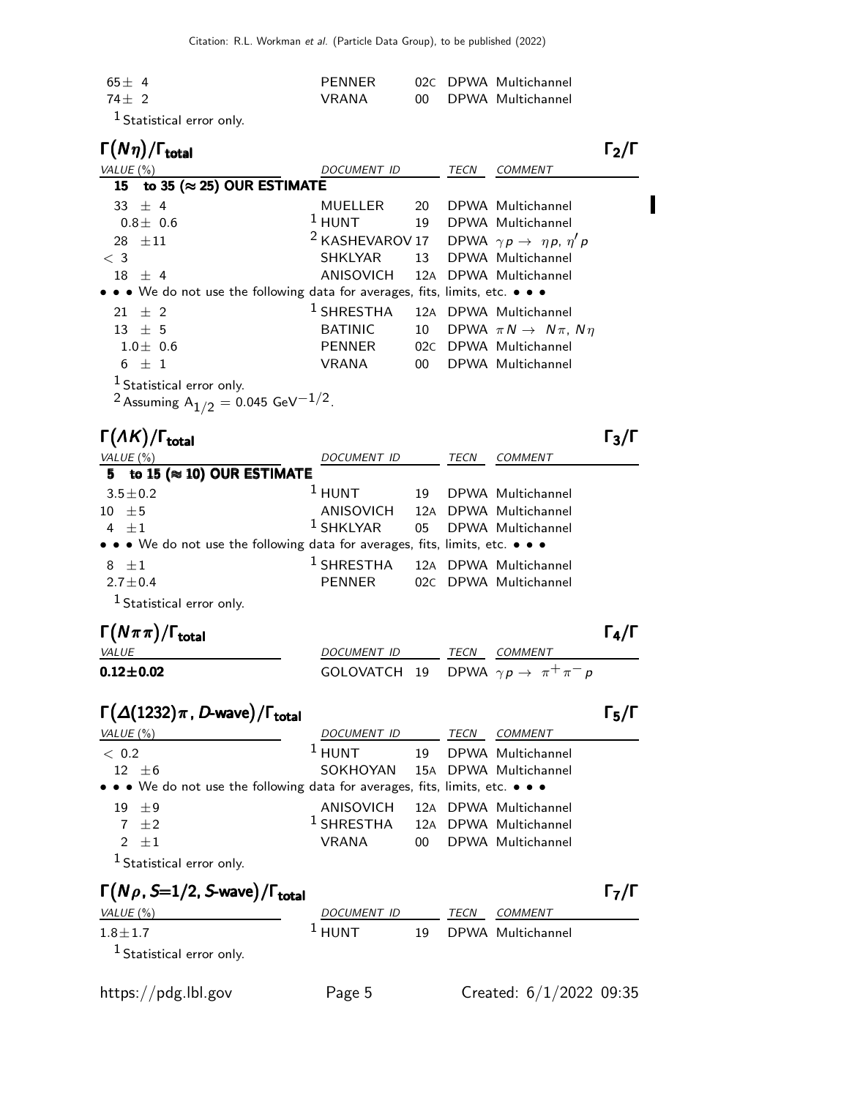| $65 + 4$ | PFNNFR |  | 02C DPWA Multichannel |
|----------|--------|--|-----------------------|
| $74 + 2$ | VRANA  |  | 00 DPWA Multichannel  |
|          |        |  |                       |

<sup>1</sup> Statistical error only.

| total                                                                                                        |                                                                        |    |      |                                           |  |
|--------------------------------------------------------------------------------------------------------------|------------------------------------------------------------------------|----|------|-------------------------------------------|--|
| VALUE $(\%)$                                                                                                 | <i>DOCUMENT ID</i>                                                     |    | TECN | <b>COMMENT</b>                            |  |
| to 35 ( $\approx$ 25) OUR ESTIMATE<br>15                                                                     |                                                                        |    |      |                                           |  |
| 33 $\pm$ 4                                                                                                   | <b>MUELLER</b>                                                         | 20 |      | DPWA Multichannel                         |  |
| $0.8 \pm 0.6$                                                                                                | $1$ HUNT                                                               |    |      | 19 DPWA Multichannel                      |  |
| $28 + 11$                                                                                                    | <sup>2</sup> KASHEVAROV 17 DPWA $\gamma p \rightarrow \eta p, \eta' p$ |    |      |                                           |  |
| $\langle 3$                                                                                                  | <b>SHKLYAR</b>                                                         |    |      | 13 DPWA Multichannel                      |  |
| $18 \pm 4$                                                                                                   | ANISOVICH 12A DPWA Multichannel                                        |    |      |                                           |  |
| • • • We do not use the following data for averages, fits, limits, etc. • • •                                |                                                                        |    |      |                                           |  |
| $21 \pm 2$                                                                                                   | $1$ SHRESTHA                                                           |    |      | 12A DPWA Multichannel                     |  |
| $13 \pm 5$                                                                                                   | <b>BATINIC</b>                                                         | 10 |      | DPWA $\pi N \rightarrow N \pi$ , $N \eta$ |  |
| $1.0 \pm 0.6$                                                                                                | PENNER                                                                 |    |      | 02C DPWA Multichannel                     |  |
| $6 \pm 1$                                                                                                    | VRANA                                                                  | 00 |      | DPWA Multichannel                         |  |
| <sup>1</sup> Statistical error only.<br><sup>2</sup> Assuming A <sub>1/2</sub> = 0.045 GeV <sup>-1/2</sup> . |                                                                        |    |      |                                           |  |
|                                                                                                              |                                                                        |    |      |                                           |  |

Γ(ΛΚ)/Γ<sub>total</sub> Γ<sub>3</sub>/Γ total and the set of the set of the set of the set of the set of the set of the set of the set of the set of t VALUE (%) DOCUMENT ID TECN COMMENT  $5$  to  $15$  ( $\approx$  10) OUR ESTIMATE  $3.5 \pm 0.2$ <sup>1</sup> HUNT 19 DPWA Multichannel  $10 \pm 5$  ANISOVICH 12A DPWA Multichannel<br>4  $\pm 1$   $1 \text{SHKLYAR}$  05 DPWA Multichannel 4  $\pm 1$ 05 DPWA Multichannel • • • We do not use the following data for averages, fits, limits, etc. • • •  $8 \quad \pm 1$ <br> $2.7 \pm 0.4$ 1 SHRESTHA 12<sup>A</sup> DPWA Multichannel PENNER 02C DPWA Multichannel 1 Statistical error only.

| $\Gamma(N\pi\pi)/\Gamma_{\rm total}$ |                                                |      |                | $\Gamma_4/\Gamma$ |
|--------------------------------------|------------------------------------------------|------|----------------|-------------------|
| <i>VALUE</i>                         | <i>DOCUMENT ID</i>                             | TECN | <i>COMMENT</i> |                   |
| $0.12\!\pm\!0.02$                    | GOLOVATCH 19 DPWA $\gamma p \to \pi^+ \pi^- p$ |      |                |                   |

| $\Gamma(\Delta(1232)\pi, D$ -wave)/ $\Gamma_{\rm total}$ | $\Gamma_5/\Gamma$ |
|----------------------------------------------------------|-------------------|
|                                                          |                   |

| VALUE $(\%)$                                                                  | DOCUMENT ID                                 |    | TECN | <i>COMMENT</i>        |
|-------------------------------------------------------------------------------|---------------------------------------------|----|------|-----------------------|
| < 0.2                                                                         | $1$ HUNT                                    | 19 |      | DPWA Multichannel     |
| $12 \pm 6$                                                                    | SOKHOYAN 15A DPWA Multichannel              |    |      |                       |
| • • • We do not use the following data for averages, fits, limits, etc. • • • |                                             |    |      |                       |
| $19 \pm 9$                                                                    | ANISOVICH                                   |    |      | 12A DPWA Multichannel |
| $7 \pm 2$                                                                     | <sup>1</sup> SHRESTHA 12A DPWA Multichannel |    |      |                       |
| 2 $\pm 1$                                                                     | VRANA                                       | 00 |      | DPWA Multichannel     |
| <sup>1</sup> Statistical error only.                                          |                                             |    |      |                       |
|                                                                               |                                             |    |      |                       |

| $\Gamma(N\rho, S=1/2, S$ -wave)/ $\Gamma_{\rm total}$ |                     |    |             |                   | $\Gamma_7/\Gamma$ |
|-------------------------------------------------------|---------------------|----|-------------|-------------------|-------------------|
| VALUE $(\%)$                                          | DOCUMENT ID         |    | <b>TECN</b> | COMMENT           |                   |
| $1.8 \pm 1.7$                                         | $\overline{1}$ HUNT | 19 |             | DPWA Multichannel |                   |
| $^1$ Statistical error only.                          |                     |    |             |                   |                   |
| $\cdots$                                              |                     |    |             | .                 |                   |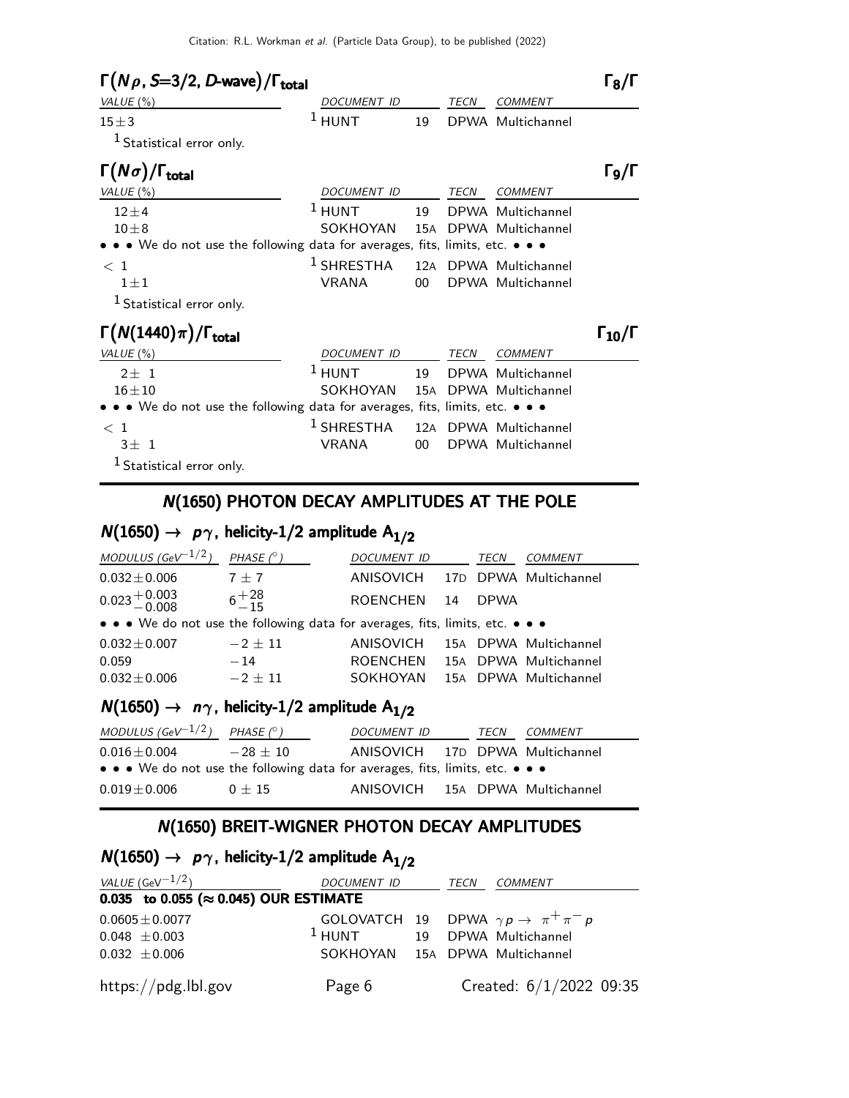| $\Gamma(N\rho, S=3/2, D$ -wave)/ $\Gamma_{\text{total}}$                      |               |                 |      |                       | $\mathsf{I}_8/\mathsf{\Gamma}$             |
|-------------------------------------------------------------------------------|---------------|-----------------|------|-----------------------|--------------------------------------------|
| VALUE $(\%)$                                                                  | DOCUMENT ID   |                 | TECN | <b>COMMENT</b>        |                                            |
| $15 \pm 3$                                                                    | $1$ HUNT      | 19              |      | DPWA Multichannel     |                                            |
| $1$ Statistical error only.                                                   |               |                 |      |                       |                                            |
| $\Gamma(N\sigma)/\Gamma_{\rm total}$                                          |               |                 |      |                       | Го/Г                                       |
| VALUE $(\%)$                                                                  | DOCUMENT ID   |                 | TECN | <b>COMMENT</b>        |                                            |
| $12 + 4$                                                                      | $1$ HUNT      | 19              |      | DPWA Multichannel     |                                            |
| $10 + 8$                                                                      | SOKHOYAN      | 15A             |      | DPWA Multichannel     |                                            |
| • • • We do not use the following data for averages, fits, limits, etc. • • • |               |                 |      |                       |                                            |
| $\langle 1$                                                                   | $^1$ SHRESTHA | 12A             |      | DPWA Multichannel     |                                            |
| $1 \pm 1$                                                                     | <b>VRANA</b>  | 00 <sup>1</sup> |      | DPWA Multichannel     |                                            |
| $1$ Statistical error only.                                                   |               |                 |      |                       |                                            |
| $\Gamma(N(1440)\pi)/\Gamma_{\rm total}$                                       |               |                 |      |                       | $\mathsf{L}_{\mathbf{10}}/\mathsf{\Gamma}$ |
| VALUE $(\%)$                                                                  | DOCUMENT ID   |                 | TECN | <b>COMMENT</b>        |                                            |
| $2+1$                                                                         | $1$ HUNT      | 19              |      | DPWA Multichannel     |                                            |
| $16 + 10$                                                                     | SOKHOYAN      | 15A             |      | DPWA Multichannel     |                                            |
| • • We do not use the following data for averages, fits, limits, etc. • • •   |               |                 |      |                       |                                            |
| $\langle 1$                                                                   | $^1$ SHRESTHA |                 |      | 12A DPWA Multichannel |                                            |
| $3+1$                                                                         | <b>VRANA</b>  | $00-1$          |      | DPWA Multichannel     |                                            |
| <sup>1</sup> Statistical error only.                                          |               |                 |      |                       |                                            |
|                                                                               |               |                 |      |                       |                                            |

#### N(1650) PHOTON DECAY AMPLITUDES AT THE POLE

# $N(1650) \rightarrow p\gamma$ , helicity-1/2 amplitude A<sub>1/2</sub>

| MODULUS (GeV <sup>-1/2</sup> )                                                | $PHASE$ ( $\circ$ ) | <i>DOCUMENT ID</i> |    | TECN        | <b>COMMENT</b>        |
|-------------------------------------------------------------------------------|---------------------|--------------------|----|-------------|-----------------------|
| $0.032 \pm 0.006$                                                             | $7 + 7$             | ANISOVICH          |    |             | 17D DPWA Multichannel |
| $0.023 + 0.003$                                                               | $6^{+28}_{-15}$     | <b>ROENCHEN</b>    | 14 | <b>DPWA</b> |                       |
| • • • We do not use the following data for averages, fits, limits, etc. • • • |                     |                    |    |             |                       |
| $0.032 \pm 0.007$                                                             | $-2 + 11$           | <b>ANISOVICH</b>   |    |             | 15A DPWA Multichannel |
| 0.059                                                                         | $-14$               | <b>ROENCHEN</b>    |    |             | 15A DPWA Multichannel |
| $0.032 \pm 0.006$                                                             | $-2 + 11$           | SOKHOYAN           |    |             | 15A DPWA Multichannel |

# $N(1650) \rightarrow n\gamma$ , helicity-1/2 amplitude A<sub>1/2</sub>

| MODULUS (GeV $^{-1/2}$ ) PHASE ( $^{\circ}$ )                                 |            | <b>DOCUMENT ID</b>              | TECN | <i>COMMENT</i> |
|-------------------------------------------------------------------------------|------------|---------------------------------|------|----------------|
| $0.016\pm0.004$                                                               | $-28 + 10$ | ANISOVICH 17D DPWA Multichannel |      |                |
| • • • We do not use the following data for averages, fits, limits, etc. • • • |            |                                 |      |                |
| $0.019\pm0.006$                                                               | $0 + 15$   | ANISOVICH 15A DPWA Multichannel |      |                |

### N(1650) BREIT-WIGNER PHOTON DECAY AMPLITUDES

## $N(1650) \rightarrow p\gamma$ , helicity-1/2 amplitude  $A_{1/2}$

| VALUE (GeV $^{-1/2}$ )                         | DOCUMENT ID                            | TECN | <b>COMMENT</b>                                         |
|------------------------------------------------|----------------------------------------|------|--------------------------------------------------------|
| 0.035 to 0.055 ( $\approx$ 0.045) OUR ESTIMATE |                                        |      |                                                        |
| $0.0605 \pm 0.0077$                            |                                        |      | GOLOVATCH 19 DPWA $\gamma p \rightarrow \pi^+ \pi^- p$ |
| $0.048 \pm 0.003$                              | <sup>1</sup> HUNT 19 DPWA Multichannel |      |                                                        |
| $0.032 \pm 0.006$                              | SOKHOYAN 15A DPWA Multichannel         |      |                                                        |
| https://pdg.lbl.gov                            | Page 6                                 |      | Created: $6/1/2022$ 09:35                              |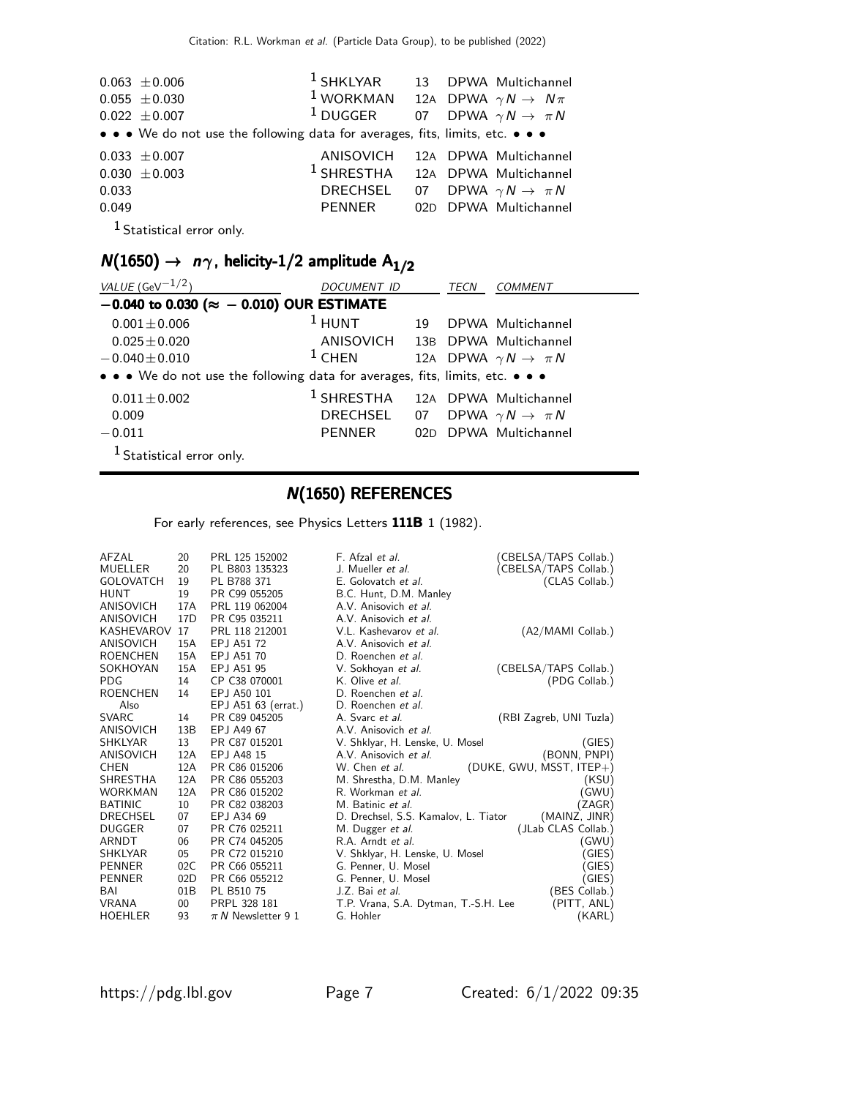|       | $0.063 \pm 0.006$                                                             | <sup>1</sup> SHKLYAR 13 DPWA Multichannel                 |  |                              |
|-------|-------------------------------------------------------------------------------|-----------------------------------------------------------|--|------------------------------|
|       | $0.055 \pm 0.030$                                                             | <sup>1</sup> WORKMAN 12A DPWA $\gamma N \rightarrow N\pi$ |  |                              |
|       | $0.022 \pm 0.007$                                                             | <sup>1</sup> DUGGER 07 DPWA $\gamma N \to \pi N$          |  |                              |
|       | • • • We do not use the following data for averages, fits, limits, etc. • • • |                                                           |  |                              |
|       | $0.033 \pm 0.007$                                                             | ANISOVICH 12A DPWA Multichannel                           |  |                              |
|       | $0.030 \pm 0.003$                                                             | <sup>1</sup> SHRESTHA 12A DPWA Multichannel               |  |                              |
| 0.033 |                                                                               | DRECHSEL                                                  |  | 07 DPWA $\gamma N \to \pi N$ |
| 0.049 |                                                                               | PENNER                                                    |  | 02D DPWA Multichannel        |
|       |                                                                               |                                                           |  |                              |

<sup>1</sup> Statistical error only.

# $N(1650) \rightarrow n\gamma$ , helicity-1/2 amplitude A<sub>1/2</sub>

| VALUE (GeV $^{-1/2}$ )                                                        | DOCUMENT ID                     |     | TECN | <b>COMMENT</b>                        |
|-------------------------------------------------------------------------------|---------------------------------|-----|------|---------------------------------------|
| $-0.040$ to 0.030 ( $\approx -0.010$ ) OUR ESTIMATE                           |                                 |     |      |                                       |
| $0.001 \pm 0.006$                                                             | $1$ HUNT                        | 19  |      | DPWA Multichannel                     |
| $0.025 \pm 0.020$                                                             | ANISOVICH 13B DPWA Multichannel |     |      |                                       |
| $-0.040 \pm 0.010$                                                            | $1$ CHEN                        |     |      | 12A DPWA $\gamma N \rightarrow \pi N$ |
| • • • We do not use the following data for averages, fits, limits, etc. • • • |                                 |     |      |                                       |
| $0.011 \pm 0.002$                                                             | $1$ SHRESTHA                    |     |      | 12A DPWA Multichannel                 |
| 0.009                                                                         | DRECHSEL                        | 07  |      | DPWA $\gamma N \rightarrow \pi N$     |
| $-0.011$                                                                      | <b>PENNER</b>                   | 02D |      | DPWA Multichannel                     |
| <sup>1</sup> Statistical error only.                                          |                                 |     |      |                                       |

#### N(1650) REFERENCES

For early references, see Physics Letters 111B 1 (1982).

| AFZAL            | 20              | PRL 125 152002         | F. Afzal et al.                      | (CBELSA/TAPS Collab.)    |
|------------------|-----------------|------------------------|--------------------------------------|--------------------------|
| MUELLER          | 20              | PL B803 135323         | J. Mueller et al.                    | (CBELSA/TAPS Collab.)    |
| <b>GOLOVATCH</b> | 19              | PL B788 371            | E. Golovatch et al.                  | (CLAS Collab.)           |
| <b>HUNT</b>      | 19              | PR C99 055205          | B.C. Hunt, D.M. Manley               |                          |
| ANISOVICH        | 17A             | PRL 119 062004         | A.V. Anisovich et al.                |                          |
| ANISOVICH        | 17 <sub>D</sub> | PR C95 035211          | A.V. Anisovich et al.                |                          |
| KASHEVAROV       | 17              | PRL 118 212001         | V.L. Kashevarov et al.               | (A2/MAMI Collab.)        |
| ANISOVICH        | 15A             | EPJ A51 72             | A.V. Anisovich et al.                |                          |
| <b>ROENCHEN</b>  | 15A             | EPJ A51 70             | D. Roenchen et al.                   |                          |
| SOKHOYAN         | 15A             | EPJ A51 95             | V. Sokhoyan et al.                   | (CBELSA/TAPS Collab.)    |
| <b>PDG</b>       | 14              | CP C38 070001          | K. Olive et al.                      | (PDG Collab.)            |
| <b>ROENCHEN</b>  | 14              | EPJ A50 101            | D. Roenchen et al.                   |                          |
| Also             |                 | EPJ A51 63 (errat.)    | D. Roenchen et al.                   |                          |
| <b>SVARC</b>     | 14              | PR C89 045205          | A. Svarc et al.                      | (RBI Zagreb, UNI Tuzla)  |
| ANISOVICH        | 13B             | EPJ A49 67             | A.V. Anisovich et al.                |                          |
| <b>SHKLYAR</b>   | 13              | PR C87 015201          | V. Shklyar, H. Lenske, U. Mosel      | (GIES)                   |
| ANISOVICH        | 12A             | EPJ A48 15             | A.V. Anisovich et al.                | (BONN, PNPI)             |
| <b>CHEN</b>      | 12A             | PR C86 015206          | W. Chen et al.                       | (DUKE, GWU, MSST, ITEP+) |
| <b>SHRESTHA</b>  | 12A             | PR C86 055203          | M. Shrestha, D.M. Manley             | (KSU)                    |
| <b>WORKMAN</b>   | 12A             | PR C86 015202          | R. Workman et al.                    | (GWU)                    |
| <b>BATINIC</b>   | 10              | PR C82 038203          | M. Batinic et al.                    | (ZAGR)                   |
| <b>DRECHSEL</b>  | 07              | EPJ A34 69             | D. Drechsel, S.S. Kamalov, L. Tiator | (MAINZ, JINR)            |
| <b>DUGGER</b>    | 07              | PR C76 025211          | M. Dugger et al.                     | (JLab CLAS Collab.)      |
| ARNDT            | 06              | PR C74 045205          | R.A. Arndt et al.                    | (GWU)                    |
| <b>SHKLYAR</b>   | 05              | PR C72 015210          | V. Shklyar, H. Lenske, U. Mosel      | (GIES)                   |
| <b>PENNER</b>    | 02C             | PR C66 055211          | G. Penner, U. Mosel                  | GIES)                    |
| <b>PENNER</b>    | 02D             | PR C66 055212          | G. Penner, U. Mosel                  | (GIES)                   |
| BAI              | 01 <sub>B</sub> | PL B510 75             | J.Z. Bai et al.                      | (BES Collab.)            |
| <b>VRANA</b>     | $00\,$          | PRPL 328 181           | T.P. Vrana, S.A. Dytman, T.-S.H. Lee | (PITT, ANL)              |
| <b>HOEHLER</b>   | 93              | $\pi N$ Newsletter 9 1 | G. Hohler                            | (KARL)                   |